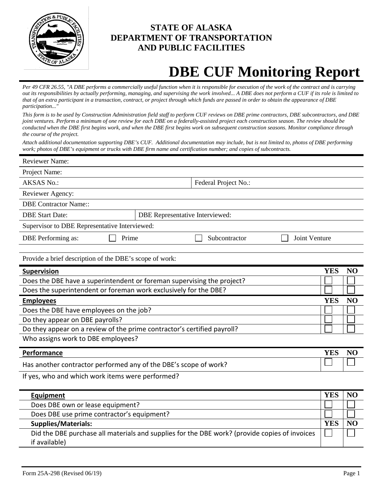

## **STATE OF ALASKA DEPARTMENT OF TRANSPORTATION AND PUBLIC FACILITIES**

# **DBE CUF Monitoring Report**

*Per 49 CFR 26.55, "A DBE performs a commercially useful function when it is responsible for execution of the work of the contract and is carrying out its responsibilities by actually performing, managing, and supervising the work involved... A DBE does not perform a CUF if its role is limited to that of an extra participant in a transaction, contract, or project through which funds are passed in order to obtain the appearance of DBE participation..."* 

*This form is to be used by Construction Administration field staff to perform CUF reviews on DBE prime contractors, DBE subcontractors, and DBE joint ventures. Perform a minimum of one review for each DBE on a federally-assisted project each construction season. The review should be conducted when the DBE first begins work, and when the DBE first begins work on subsequent construction seasons. Monitor compliance through the course of the project.*

*Attach additional documentation supporting DBE's CUF. Additional documentation may include, but is not limited to, photos of DBE performing work; photos of DBE's equipment or trucks with DBE firm name and certification number; and copies of subcontracts.*

| <b>Reviewer Name:</b>                                                   |                                        |                      |                      |            |                        |
|-------------------------------------------------------------------------|----------------------------------------|----------------------|----------------------|------------|------------------------|
| Project Name:                                                           |                                        |                      |                      |            |                        |
| <b>AKSAS No.:</b>                                                       |                                        | Federal Project No.: |                      |            |                        |
| Reviewer Agency:                                                        |                                        |                      |                      |            |                        |
| <b>DBE Contractor Name::</b>                                            |                                        |                      |                      |            |                        |
| <b>DBE Start Date:</b>                                                  | <b>DBE</b> Representative Interviewed: |                      |                      |            |                        |
| Supervisor to DBE Representative Interviewed:                           |                                        |                      |                      |            |                        |
| DBE Performing as:<br>Prime                                             |                                        | Subcontractor        | <b>Joint Venture</b> |            |                        |
|                                                                         |                                        |                      |                      |            |                        |
| Provide a brief description of the DBE's scope of work:                 |                                        |                      |                      |            |                        |
| <b>Supervision</b>                                                      |                                        |                      |                      | <b>YES</b> | N <sub>O</sub>         |
| Does the DBE have a superintendent or foreman supervising the project?  |                                        |                      |                      |            |                        |
| Does the superintendent or foreman work exclusively for the DBE?        |                                        |                      |                      |            |                        |
| <b>Employees</b>                                                        |                                        |                      |                      | <b>YES</b> | NO                     |
| Does the DBE have employees on the job?                                 |                                        |                      |                      |            |                        |
| Do they appear on DBE payrolls?                                         |                                        |                      |                      |            |                        |
| Do they appear on a review of the prime contractor's certified payroll? |                                        |                      |                      |            |                        |
| Who assigns work to DBE employees?                                      |                                        |                      |                      |            |                        |
| Darformance                                                             |                                        |                      |                      | <b>VES</b> | $\mathbf{N}\mathbf{O}$ |

| YES<br>Performance                                               | NC |
|------------------------------------------------------------------|----|
| Has another contractor performed any of the DBE's scope of work? |    |

If yes, who and which work items were performed?

| Equipment                                  |                                                                                               |     | NC |
|--------------------------------------------|-----------------------------------------------------------------------------------------------|-----|----|
| Does DBE own or lease equipment?           |                                                                                               |     |    |
| Does DBE use prime contractor's equipment? |                                                                                               |     |    |
| <b>Supplies/Materials:</b>                 |                                                                                               | YE. | NO |
|                                            | Did the DBE purchase all materials and supplies for the DBE work? (provide copies of invoices |     |    |
| if available)                              |                                                                                               |     |    |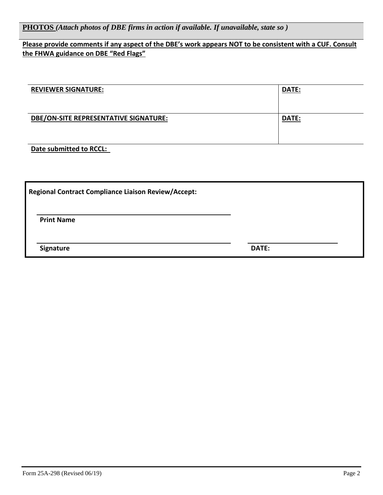**PHOTOS** *(Attach photos of DBE firms in action if available. If unavailable, state so )*

### **Please provide comments if any aspect of the DBE's work appears NOT to be consistent with a CUF. Consult the FHWA guidance on DBE "Red Flags"**

| <b>REVIEWER SIGNATURE:</b>            | <b>DATE:</b> |
|---------------------------------------|--------------|
| DBE/ON-SITE REPRESENTATIVE SIGNATURE: | DATE:        |

### **Date submitted to RCCL:**

| <b>Regional Contract Compliance Liaison Review/Accept:</b> |              |
|------------------------------------------------------------|--------------|
| <b>Print Name</b>                                          |              |
| <b>Signature</b>                                           | <b>DATE:</b> |